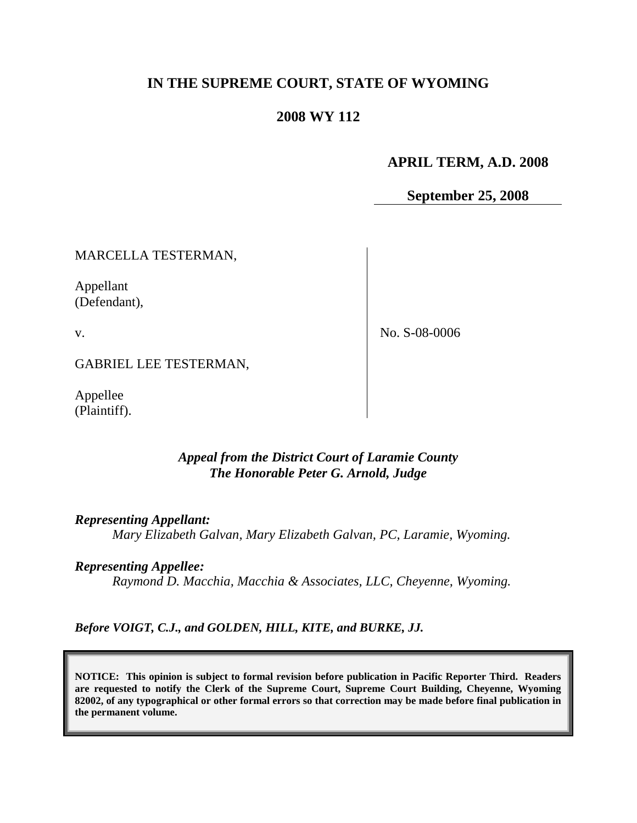# **IN THE SUPREME COURT, STATE OF WYOMING**

### **2008 WY 112**

## **APRIL TERM, A.D. 2008**

**September 25, 2008**

MARCELLA TESTERMAN,

Appellant (Defendant),

v.

No. S-08-0006

GABRIEL LEE TESTERMAN,

Appellee (Plaintiff).

### *Appeal from the District Court of Laramie County The Honorable Peter G. Arnold, Judge*

#### *Representing Appellant:*

*Mary Elizabeth Galvan, Mary Elizabeth Galvan, PC, Laramie, Wyoming.*

### *Representing Appellee:*

*Raymond D. Macchia, Macchia & Associates, LLC, Cheyenne, Wyoming.*

*Before VOIGT, C.J., and GOLDEN, HILL, KITE, and BURKE, JJ.*

**NOTICE: This opinion is subject to formal revision before publication in Pacific Reporter Third. Readers are requested to notify the Clerk of the Supreme Court, Supreme Court Building, Cheyenne, Wyoming 82002, of any typographical or other formal errors so that correction may be made before final publication in the permanent volume.**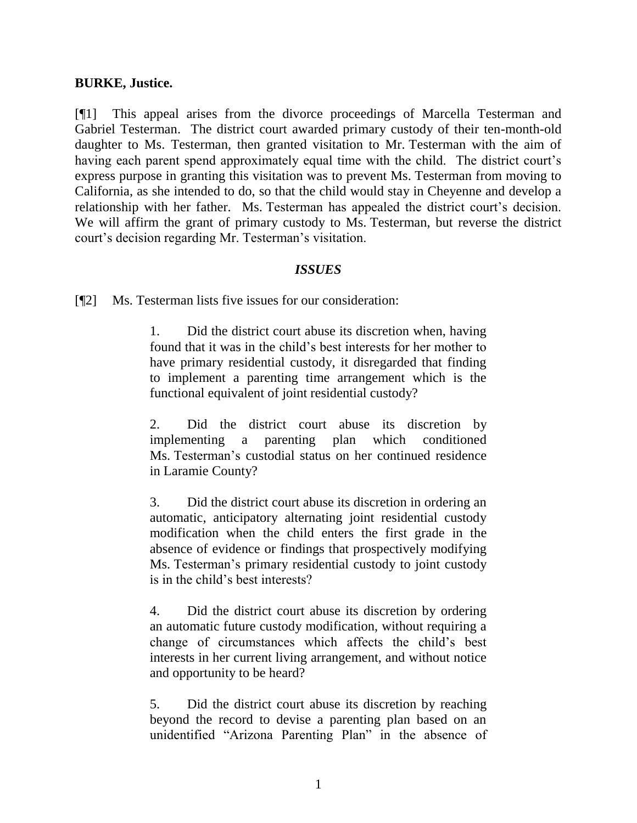### **BURKE, Justice.**

[¶1] This appeal arises from the divorce proceedings of Marcella Testerman and Gabriel Testerman. The district court awarded primary custody of their ten-month-old daughter to Ms. Testerman, then granted visitation to Mr. Testerman with the aim of having each parent spend approximately equal time with the child. The district court's express purpose in granting this visitation was to prevent Ms. Testerman from moving to California, as she intended to do, so that the child would stay in Cheyenne and develop a relationship with her father. Ms. Testerman has appealed the district court's decision. We will affirm the grant of primary custody to Ms. Testerman, but reverse the district court"s decision regarding Mr. Testerman"s visitation.

### *ISSUES*

[¶2] Ms. Testerman lists five issues for our consideration:

1. Did the district court abuse its discretion when, having found that it was in the child"s best interests for her mother to have primary residential custody, it disregarded that finding to implement a parenting time arrangement which is the functional equivalent of joint residential custody?

2. Did the district court abuse its discretion by implementing a parenting plan which conditioned Ms. Testerman"s custodial status on her continued residence in Laramie County?

3. Did the district court abuse its discretion in ordering an automatic, anticipatory alternating joint residential custody modification when the child enters the first grade in the absence of evidence or findings that prospectively modifying Ms. Testerman"s primary residential custody to joint custody is in the child"s best interests?

4. Did the district court abuse its discretion by ordering an automatic future custody modification, without requiring a change of circumstances which affects the child"s best interests in her current living arrangement, and without notice and opportunity to be heard?

5. Did the district court abuse its discretion by reaching beyond the record to devise a parenting plan based on an unidentified "Arizona Parenting Plan" in the absence of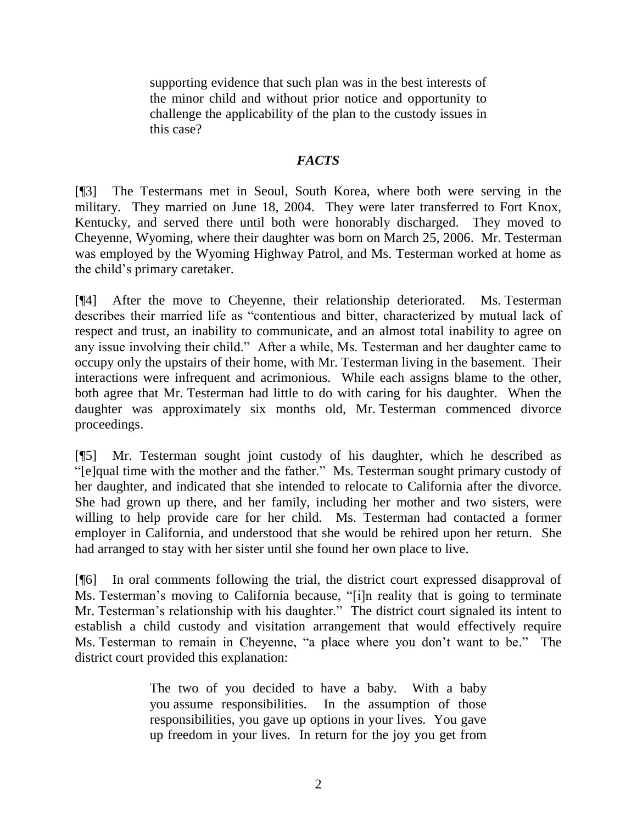supporting evidence that such plan was in the best interests of the minor child and without prior notice and opportunity to challenge the applicability of the plan to the custody issues in this case?

### *FACTS*

[¶3] The Testermans met in Seoul, South Korea, where both were serving in the military. They married on June 18, 2004. They were later transferred to Fort Knox, Kentucky, and served there until both were honorably discharged. They moved to Cheyenne, Wyoming, where their daughter was born on March 25, 2006. Mr. Testerman was employed by the Wyoming Highway Patrol, and Ms. Testerman worked at home as the child"s primary caretaker.

[¶4] After the move to Cheyenne, their relationship deteriorated. Ms. Testerman describes their married life as "contentious and bitter, characterized by mutual lack of respect and trust, an inability to communicate, and an almost total inability to agree on any issue involving their child." After a while, Ms. Testerman and her daughter came to occupy only the upstairs of their home, with Mr. Testerman living in the basement. Their interactions were infrequent and acrimonious. While each assigns blame to the other, both agree that Mr. Testerman had little to do with caring for his daughter. When the daughter was approximately six months old, Mr. Testerman commenced divorce proceedings.

[¶5] Mr. Testerman sought joint custody of his daughter, which he described as "[e]qual time with the mother and the father." Ms. Testerman sought primary custody of her daughter, and indicated that she intended to relocate to California after the divorce. She had grown up there, and her family, including her mother and two sisters, were willing to help provide care for her child. Ms. Testerman had contacted a former employer in California, and understood that she would be rehired upon her return. She had arranged to stay with her sister until she found her own place to live.

[¶6] In oral comments following the trial, the district court expressed disapproval of Ms. Testerman"s moving to California because, "[i]n reality that is going to terminate Mr. Testerman's relationship with his daughter." The district court signaled its intent to establish a child custody and visitation arrangement that would effectively require Ms. Testerman to remain in Cheyenne, "a place where you don"t want to be." The district court provided this explanation:

> The two of you decided to have a baby. With a baby you assume responsibilities. In the assumption of those responsibilities, you gave up options in your lives. You gave up freedom in your lives. In return for the joy you get from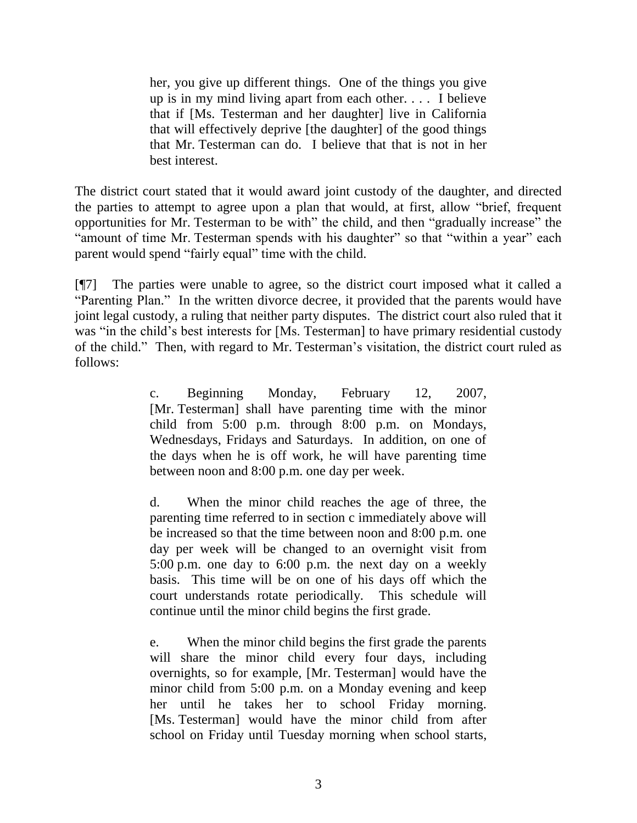her, you give up different things. One of the things you give up is in my mind living apart from each other. . . . I believe that if [Ms. Testerman and her daughter] live in California that will effectively deprive [the daughter] of the good things that Mr. Testerman can do. I believe that that is not in her best interest.

The district court stated that it would award joint custody of the daughter, and directed the parties to attempt to agree upon a plan that would, at first, allow "brief, frequent opportunities for Mr. Testerman to be with" the child, and then "gradually increase" the "amount of time Mr. Testerman spends with his daughter" so that "within a year" each parent would spend "fairly equal" time with the child.

[¶7] The parties were unable to agree, so the district court imposed what it called a "Parenting Plan." In the written divorce decree, it provided that the parents would have joint legal custody, a ruling that neither party disputes. The district court also ruled that it was "in the child's best interests for [Ms. Testerman] to have primary residential custody of the child." Then, with regard to Mr. Testerman"s visitation, the district court ruled as follows:

> c. Beginning Monday, February 12, 2007, [Mr. Testerman] shall have parenting time with the minor child from 5:00 p.m. through 8:00 p.m. on Mondays, Wednesdays, Fridays and Saturdays. In addition, on one of the days when he is off work, he will have parenting time between noon and 8:00 p.m. one day per week.

> d. When the minor child reaches the age of three, the parenting time referred to in section c immediately above will be increased so that the time between noon and 8:00 p.m. one day per week will be changed to an overnight visit from 5:00 p.m. one day to 6:00 p.m. the next day on a weekly basis. This time will be on one of his days off which the court understands rotate periodically. This schedule will continue until the minor child begins the first grade.

> e. When the minor child begins the first grade the parents will share the minor child every four days, including overnights, so for example, [Mr. Testerman] would have the minor child from 5:00 p.m. on a Monday evening and keep her until he takes her to school Friday morning. [Ms. Testerman] would have the minor child from after school on Friday until Tuesday morning when school starts,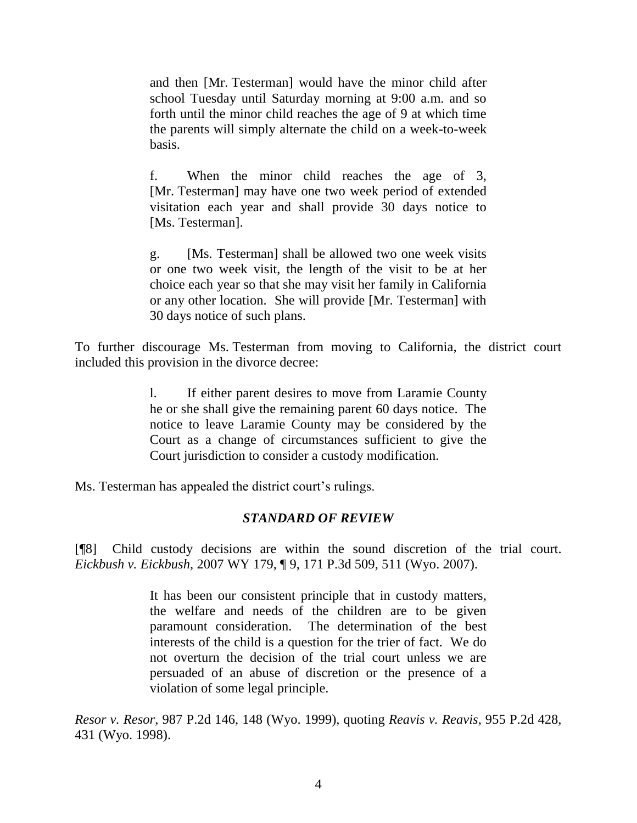and then [Mr. Testerman] would have the minor child after school Tuesday until Saturday morning at 9:00 a.m. and so forth until the minor child reaches the age of 9 at which time the parents will simply alternate the child on a week-to-week basis.

f. When the minor child reaches the age of 3, [Mr. Testerman] may have one two week period of extended visitation each year and shall provide 30 days notice to [Ms. Testerman].

g. [Ms. Testerman] shall be allowed two one week visits or one two week visit, the length of the visit to be at her choice each year so that she may visit her family in California or any other location. She will provide [Mr. Testerman] with 30 days notice of such plans.

To further discourage Ms. Testerman from moving to California, the district court included this provision in the divorce decree:

> l. If either parent desires to move from Laramie County he or she shall give the remaining parent 60 days notice. The notice to leave Laramie County may be considered by the Court as a change of circumstances sufficient to give the Court jurisdiction to consider a custody modification.

Ms. Testerman has appealed the district court's rulings.

### *STANDARD OF REVIEW*

[¶8] Child custody decisions are within the sound discretion of the trial court. *Eickbush v. Eickbush*, 2007 WY 179, ¶ 9, 171 P.3d 509, 511 (Wyo. 2007).

> It has been our consistent principle that in custody matters, the welfare and needs of the children are to be given paramount consideration. The determination of the best interests of the child is a question for the trier of fact. We do not overturn the decision of the trial court unless we are persuaded of an abuse of discretion or the presence of a violation of some legal principle.

*Resor v. Resor*, 987 P.2d 146, 148 (Wyo. 1999), quoting *Reavis v. Reavis*, 955 P.2d 428, 431 (Wyo. 1998).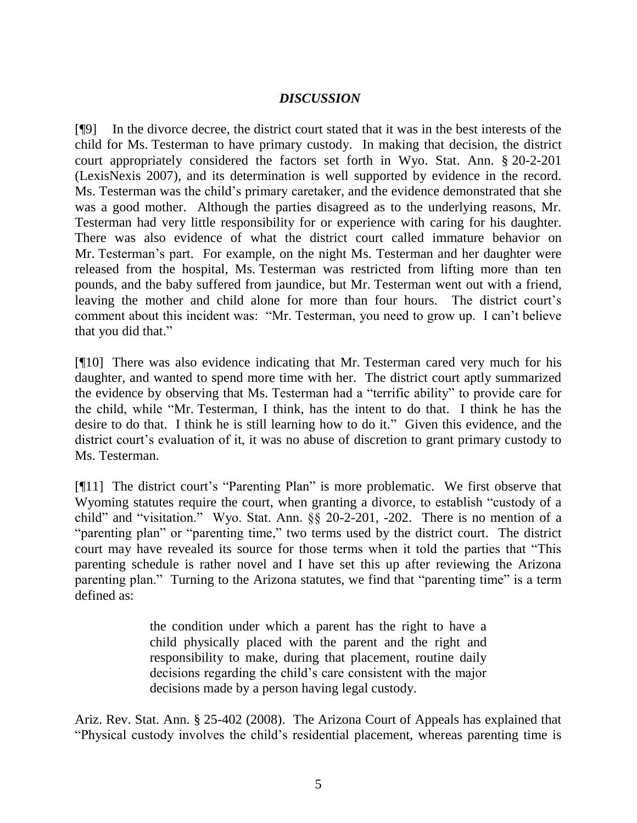### *DISCUSSION*

[¶9] In the divorce decree, the district court stated that it was in the best interests of the child for Ms. Testerman to have primary custody. In making that decision, the district court appropriately considered the factors set forth in Wyo. Stat. Ann. § 20-2-201 (LexisNexis 2007), and its determination is well supported by evidence in the record. Ms. Testerman was the child"s primary caretaker, and the evidence demonstrated that she was a good mother. Although the parties disagreed as to the underlying reasons, Mr. Testerman had very little responsibility for or experience with caring for his daughter. There was also evidence of what the district court called immature behavior on Mr. Testerman"s part. For example, on the night Ms. Testerman and her daughter were released from the hospital, Ms. Testerman was restricted from lifting more than ten pounds, and the baby suffered from jaundice, but Mr. Testerman went out with a friend, leaving the mother and child alone for more than four hours. The district court's comment about this incident was: "Mr. Testerman, you need to grow up. I can"t believe that you did that."

[¶10] There was also evidence indicating that Mr. Testerman cared very much for his daughter, and wanted to spend more time with her. The district court aptly summarized the evidence by observing that Ms. Testerman had a "terrific ability" to provide care for the child, while "Mr. Testerman, I think, has the intent to do that. I think he has the desire to do that. I think he is still learning how to do it." Given this evidence, and the district court's evaluation of it, it was no abuse of discretion to grant primary custody to Ms. Testerman.

[¶11] The district court's "Parenting Plan" is more problematic. We first observe that Wyoming statutes require the court, when granting a divorce, to establish "custody of a child" and "visitation." Wyo. Stat. Ann. §§ 20-2-201, -202. There is no mention of a "parenting plan" or "parenting time," two terms used by the district court. The district court may have revealed its source for those terms when it told the parties that "This parenting schedule is rather novel and I have set this up after reviewing the Arizona parenting plan." Turning to the Arizona statutes, we find that "parenting time" is a term defined as:

> the condition under which a parent has the right to have a child physically placed with the parent and the right and responsibility to make, during that placement, routine daily decisions regarding the child"s care consistent with the major decisions made by a person having legal custody.

Ariz. Rev. Stat. Ann. § 25-402 (2008). The Arizona Court of Appeals has explained that "Physical custody involves the child"s residential placement, whereas parenting time is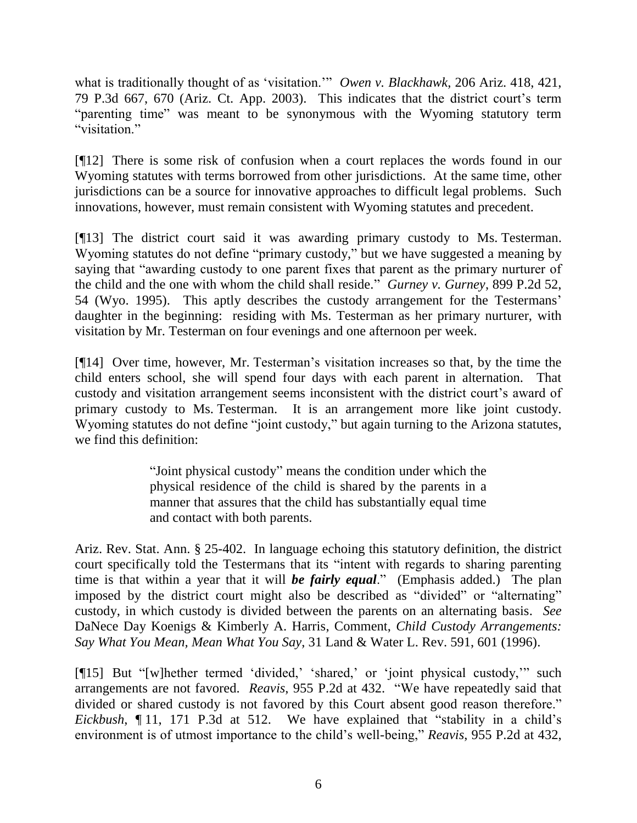what is traditionally thought of as "visitation."" *Owen v. Blackhawk*, 206 Ariz. 418, 421, 79 P.3d 667, 670 (Ariz. Ct. App. 2003). This indicates that the district court"s term "parenting time" was meant to be synonymous with the Wyoming statutory term "visitation."

[¶12] There is some risk of confusion when a court replaces the words found in our Wyoming statutes with terms borrowed from other jurisdictions. At the same time, other jurisdictions can be a source for innovative approaches to difficult legal problems. Such innovations, however, must remain consistent with Wyoming statutes and precedent.

[¶13] The district court said it was awarding primary custody to Ms. Testerman. Wyoming statutes do not define "primary custody," but we have suggested a meaning by saying that "awarding custody to one parent fixes that parent as the primary nurturer of the child and the one with whom the child shall reside." *Gurney v. Gurney*, 899 P.2d 52, 54 (Wyo. 1995). This aptly describes the custody arrangement for the Testermans" daughter in the beginning: residing with Ms. Testerman as her primary nurturer, with visitation by Mr. Testerman on four evenings and one afternoon per week.

[¶14] Over time, however, Mr. Testerman"s visitation increases so that, by the time the child enters school, she will spend four days with each parent in alternation. That custody and visitation arrangement seems inconsistent with the district court's award of primary custody to Ms. Testerman. It is an arrangement more like joint custody. Wyoming statutes do not define "joint custody," but again turning to the Arizona statutes, we find this definition:

> "Joint physical custody" means the condition under which the physical residence of the child is shared by the parents in a manner that assures that the child has substantially equal time and contact with both parents.

Ariz. Rev. Stat. Ann. § 25-402. In language echoing this statutory definition, the district court specifically told the Testermans that its "intent with regards to sharing parenting time is that within a year that it will *be fairly equal*." (Emphasis added.) The plan imposed by the district court might also be described as "divided" or "alternating" custody, in which custody is divided between the parents on an alternating basis. *See* DaNece Day Koenigs & Kimberly A. Harris, Comment, *Child Custody Arrangements: Say What You Mean, Mean What You Say*, 31 Land & Water L. Rev. 591, 601 (1996).

[¶15] But "[w]hether termed "divided," "shared," or "joint physical custody,"" such arrangements are not favored. *Reavis*, 955 P.2d at 432. "We have repeatedly said that divided or shared custody is not favored by this Court absent good reason therefore." *Eickbush*, 11, 171 P.3d at 512. We have explained that "stability in a child's environment is of utmost importance to the child"s well-being," *Reavis*, 955 P.2d at 432,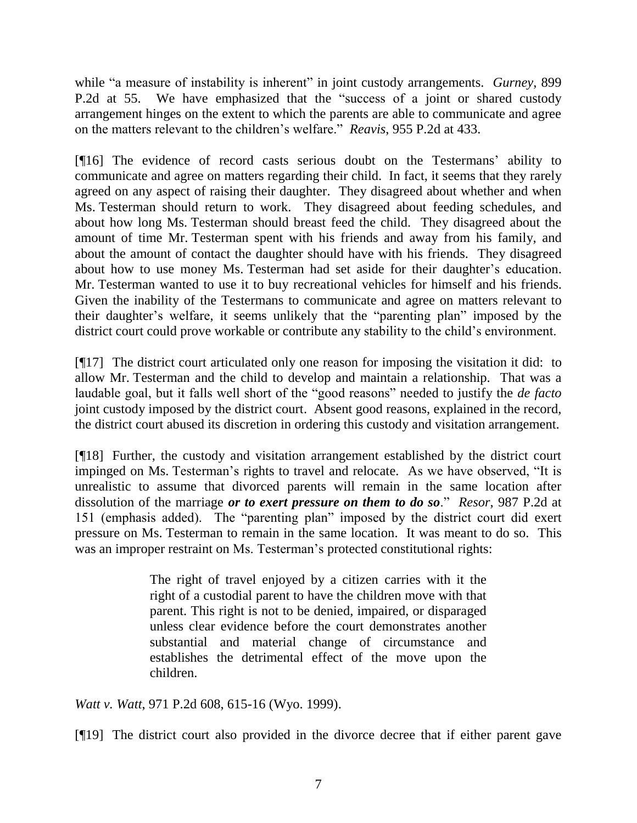while "a measure of instability is inherent" in joint custody arrangements. *Gurney*, 899 P.2d at 55. We have emphasized that the "success of a joint or shared custody arrangement hinges on the extent to which the parents are able to communicate and agree on the matters relevant to the children"s welfare." *Reavis*, 955 P.2d at 433.

[¶16] The evidence of record casts serious doubt on the Testermans' ability to communicate and agree on matters regarding their child. In fact, it seems that they rarely agreed on any aspect of raising their daughter. They disagreed about whether and when Ms. Testerman should return to work. They disagreed about feeding schedules, and about how long Ms. Testerman should breast feed the child. They disagreed about the amount of time Mr. Testerman spent with his friends and away from his family, and about the amount of contact the daughter should have with his friends. They disagreed about how to use money Ms. Testerman had set aside for their daughter's education. Mr. Testerman wanted to use it to buy recreational vehicles for himself and his friends. Given the inability of the Testermans to communicate and agree on matters relevant to their daughter"s welfare, it seems unlikely that the "parenting plan" imposed by the district court could prove workable or contribute any stability to the child's environment.

[¶17] The district court articulated only one reason for imposing the visitation it did: to allow Mr. Testerman and the child to develop and maintain a relationship. That was a laudable goal, but it falls well short of the "good reasons" needed to justify the *de facto* joint custody imposed by the district court. Absent good reasons, explained in the record, the district court abused its discretion in ordering this custody and visitation arrangement.

[¶18] Further, the custody and visitation arrangement established by the district court impinged on Ms. Testerman's rights to travel and relocate. As we have observed, "It is unrealistic to assume that divorced parents will remain in the same location after dissolution of the marriage *or to exert pressure on them to do so*." *Resor*, 987 P.2d at 151 (emphasis added). The "parenting plan" imposed by the district court did exert pressure on Ms. Testerman to remain in the same location. It was meant to do so. This was an improper restraint on Ms. Testerman's protected constitutional rights:

> The right of travel enjoyed by a citizen carries with it the right of a custodial parent to have the children move with that parent. This right is not to be denied, impaired, or disparaged unless clear evidence before the court demonstrates another substantial and material change of circumstance and establishes the detrimental effect of the move upon the children.

*Watt v. Watt*, 971 P.2d 608, 615-16 (Wyo. 1999).

[¶19] The district court also provided in the divorce decree that if either parent gave